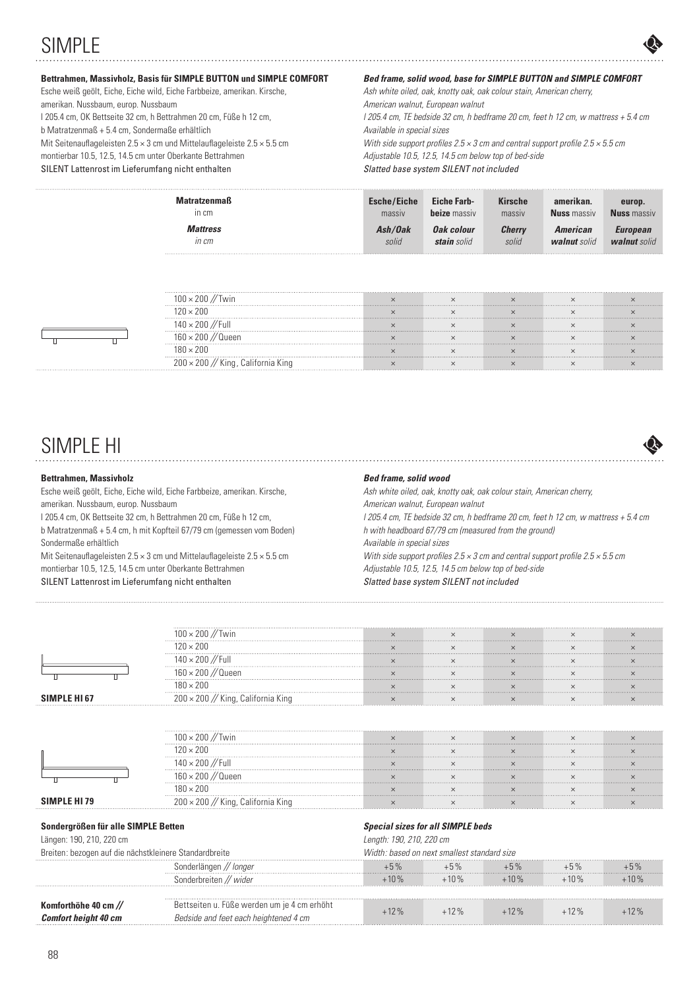# SIMPLE



### **Bettrahmen, Massivholz, Basis für SIMPLE BUTTON und SIMPLE COMFORT**

Esche weiß geölt, Eiche, Eiche wild, Eiche Farbbeize, amerikan. Kirsche, amerikan. Nussbaum, europ. Nussbaum l 205.4 cm, OK Bettseite 32 cm, h Bettrahmen 20 cm, Füße h 12 cm, b Matratzenmaß + 5.4 cm, Sondermaße erhältlich Mit Seitenauflageleisten 2.5  $\times$  3 cm und Mittelauflageleiste 2.5  $\times$  5.5 cm montierbar 10.5, 12.5, 14.5 cm unter Oberkante Bettrahmen SILENT Lattenrost im Lieferumfang nicht enthalten

### *Bed frame, solid wood, base for SIMPLE BUTTON and SIMPLE COMFORT*

Ash white oiled, oak, knotty oak, oak colour stain, American cherry, American walnut, European walnut  $l$  205.4 cm, TF bedside 32 cm, h bedframe 20 cm, feet h 12 cm, w mattress  $+5.4$  cm Available in special sizes With side support profiles  $2.5 \times 3$  cm and central support profile  $2.5 \times 5.5$  cm Adjustable 10.5, 12.5, 14.5 cm below top of bed-side Slatted base system SILENT not included

| <b>Matratzenmaß</b><br>In cm | <b>Esche/Eiche</b><br>massiv | <b>Eiche Farb-</b><br><b>beize</b> massiv | <b>Kirsche</b><br>massiv | amerikan.<br><b>Nuss</b> massiv | europ.<br><b>Nuss</b> massiv |
|------------------------------|------------------------------|-------------------------------------------|--------------------------|---------------------------------|------------------------------|
| <b>Mattress</b>              | Ash/Oak                      | Oak colour                                | <b>Cherry</b>            | American                        | <b>European</b>              |
| in cm                        | solid                        | stain solid                               | solid                    | walnut solid                    | walnut solid                 |
|                              |                              |                                           |                          |                                 |                              |